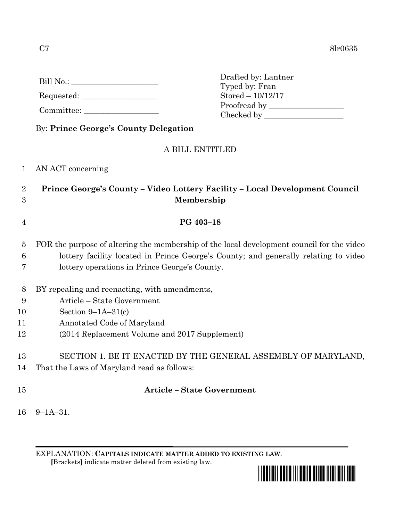| Bill No.: |
|-----------|
|-----------|

Requested: \_\_\_\_\_\_\_\_\_\_\_\_\_\_\_\_\_\_\_

Committee:

|  | By: Prince George's County Delegation |
|--|---------------------------------------|

## A BILL ENTITLED

Drafted by: Lantner Typed by: Fran Stored – 10/12/17

Proofread by Checked by \_\_\_\_\_\_\_\_\_\_\_\_\_\_\_\_\_\_\_\_

- 1 AN ACT concerning
- 2 **Prince George's County – Video Lottery Facility – Local Development Council** 3 **Membership**
- 4 **PG 403–18**
- 5 FOR the purpose of altering the membership of the local development council for the video 6 lottery facility located in Prince George's County; and generally relating to video 7 lottery operations in Prince George's County.
- 8 BY repealing and reenacting, with amendments,
- 9 Article State Government
- 10 Section 9–1A–31(c)
- 11 Annotated Code of Maryland
- 12 (2014 Replacement Volume and 2017 Supplement)
- 13 SECTION 1. BE IT ENACTED BY THE GENERAL ASSEMBLY OF MARYLAND,
- 14 That the Laws of Maryland read as follows:
- 

## 15 **Article – State Government**

16 9–1A–31.

EXPLANATION: **CAPITALS INDICATE MATTER ADDED TO EXISTING LAW**.  **[**Brackets**]** indicate matter deleted from existing law.

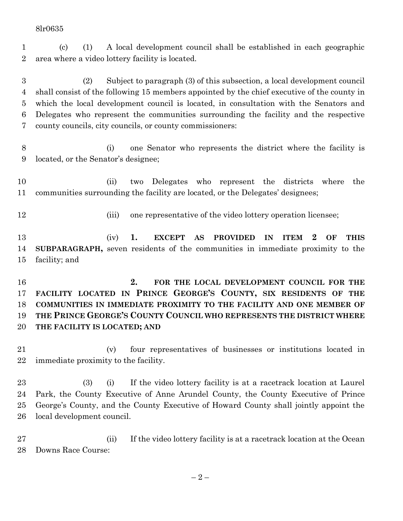## 8lr0635

 (c) (1) A local development council shall be established in each geographic area where a video lottery facility is located.

 (2) Subject to paragraph (3) of this subsection, a local development council shall consist of the following 15 members appointed by the chief executive of the county in which the local development council is located, in consultation with the Senators and Delegates who represent the communities surrounding the facility and the respective county councils, city councils, or county commissioners:

 (i) one Senator who represents the district where the facility is located, or the Senator's designee;

 (ii) two Delegates who represent the districts where the communities surrounding the facility are located, or the Delegates' designees;

12 (iii) one representative of the video lottery operation licensee;

 (iv) **1. EXCEPT AS PROVIDED IN ITEM 2 OF THIS SUBPARAGRAPH,** seven residents of the communities in immediate proximity to the facility; and

 **2. FOR THE LOCAL DEVELOPMENT COUNCIL FOR THE FACILITY LOCATED IN PRINCE GEORGE'S COUNTY, SIX RESIDENTS OF THE COMMUNITIES IN IMMEDIATE PROXIMITY TO THE FACILITY AND ONE MEMBER OF THE PRINCE GEORGE'S COUNTY COUNCIL WHO REPRESENTS THE DISTRICT WHERE THE FACILITY IS LOCATED; AND**

 (v) four representatives of businesses or institutions located in immediate proximity to the facility.

 (3) (i) If the video lottery facility is at a racetrack location at Laurel Park, the County Executive of Anne Arundel County, the County Executive of Prince George's County, and the County Executive of Howard County shall jointly appoint the local development council.

 (ii) If the video lottery facility is at a racetrack location at the Ocean Downs Race Course: